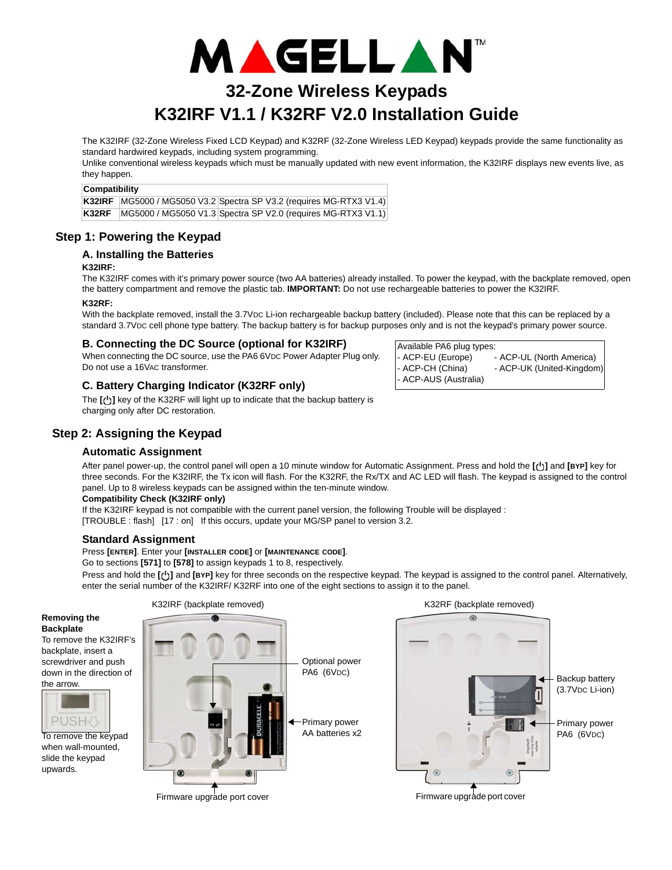

# **32-Zone Wireless Keypads K32IRF V1.1 / K32RF V2.0 Installation Guide**

The K32IRF (32-Zone Wireless Fixed LCD Keypad) and K32RF (32-Zone Wireless LED Keypad) keypads provide the same functionality as standard hardwired keypads, including system programming.

Unlike conventional wireless keypads which must be manually updated with new event information, the K32IRF displays new events live, as they happen.

#### **Compatibility**

**K32IRF** | MG5000 / MG5050 V3.2 Spectra SP V3.2 (requires MG-RTX3 V1.4) **K32RF** MG5000 / MG5050 V1.3 Spectra SP V2.0 (requires MG-RTX3 V1.1)

# **Step 1: Powering the Keypad**

#### **A. Installing the Batteries**

#### **K32IRF:**

The K32IRF comes with it's primary power source (two AA batteries) already installed. To power the keypad, with the backplate removed, open the battery compartment and remove the plastic tab. **IMPORTANT:** Do not use rechargeable batteries to power the K32IRF.

## **K32RF:**

With the backplate removed, install the 3.7VDC Li-ion rechargeable backup battery (included). Please note that this can be replaced by a standard 3.7VDC cell phone type battery. The backup battery is for backup purposes only and is not the keypad's primary power source.

#### **B. Connecting the DC Source (optional for K32IRF)**

When connecting the DC source, use the PA6 6VDC Power Adapter Plug only. Do not use a 16VAC transformer.

# **C. Battery Charging Indicator (K32RF only)**

The [**b**] key of the K32RF will light up to indicate that the backup battery is charging only after DC restoration.

# **Step 2: Assigning the Keypad**

#### **Automatic Assignment**

After panel power-up, the control panel will open a 10 minute window for Automatic Assignment. Press and hold the **[ ]** and **[BYP]** key for three seconds. For the K32IRF, the Tx icon will flash. For the K32RF, the Rx/TX and AC LED will flash. The keypad is assigned to the control panel. Up to 8 wireless keypads can be assigned within the ten-minute window.

#### **Compatibility Check (K32IRF only)**

If the K32IRF keypad is not compatible with the current panel version, the following Trouble will be displayed :

[TROUBLE : flash] [17 : on] If this occurs, update your MG/SP panel to version 3.2.

## **Standard Assignment**

Press **[ENTER]**. Enter your **[INSTALLER CODE]** or **[MAINTENANCE CODE]**.

Go to sections **[571]** to **[578]** to assign keypads 1 to 8, respectively.

**Press and hold the [ U ] and [BYP]** key for three seconds on the respective keypad. The keypad is assigned to the control panel. Alternatively, enter the serial number of the K32IRF/ K32RF into one of the eight sections to assign it to the panel.

#### **Removing the Backplate**

To remove the K32IRF's backplate, insert a screwdriver and push down in the direction of the arrow.



when wall-mounted, slide the keypad upwards.

K32IRF (backplate removed) and the matrix of the K32IRF (backplate removed)





Firmware upgrade port cover

Available PA6 plug types: - ACP-EU (Europe) - ACP-UL (North America) ACP-CH (China) - ACP-UK (United-Kingdom) - ACP-AUS (Australia)



Firmware upgrade port cover